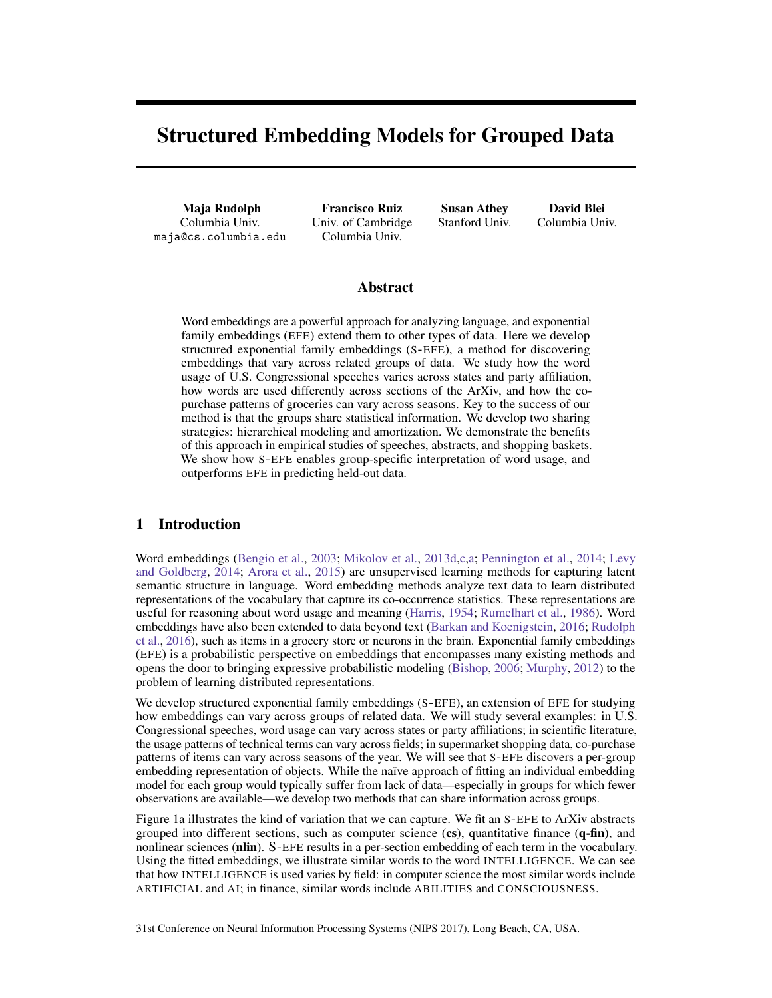# Structured Embedding Models for Grouped Data

Maja Rudolph Columbia Univ. maja@cs.columbia.edu

Francisco Ruiz Univ. of Cambridge Columbia Univ.

Susan Athey Stanford Univ.

David Blei Columbia Univ.

## Abstract

Word embeddings are a powerful approach for analyzing language, and exponential family embeddings (EFE) extend them to other types of data. Here we develop structured exponential family embeddings (S-EFE), a method for discovering embeddings that vary across related groups of data. We study how the word usage of U.S. Congressional speeches varies across states and party affiliation, how words are used differently across sections of the ArXiv, and how the copurchase patterns of groceries can vary across seasons. Key to the success of our method is that the groups share statistical information. We develop two sharing strategies: hierarchical modeling and amortization. We demonstrate the benefits of this approach in empirical studies of speeches, abstracts, and shopping baskets. We show how S-EFE enables group-specific interpretation of word usage, and outperforms EFE in predicting held-out data.

## 1 Introduction

Word embeddings (Bengio et al., 2003; Mikolov et al., 2013d,c,a; Pennington et al., 2014; Levy and Goldberg, 2014; Arora et al., 2015) are unsupervised learning methods for capturing latent semantic structure in language. Word embedding methods analyze text data to learn distributed representations of the vocabulary that capture its co-occurrence statistics. These representations are useful for reasoning about word usage and meaning (Harris, 1954; Rumelhart et al., 1986). Word embeddings have also been extended to data beyond text (Barkan and Koenigstein, 2016; Rudolph et al., 2016), such as items in a grocery store or neurons in the brain. Exponential family embeddings (EFE) is a probabilistic perspective on embeddings that encompasses many existing methods and opens the door to bringing expressive probabilistic modeling (Bishop, 2006; Murphy, 2012) to the problem of learning distributed representations.

We develop structured exponential family embeddings (S-EFE), an extension of EFE for studying how embeddings can vary across groups of related data. We will study several examples: in U.S. Congressional speeches, word usage can vary across states or party affiliations; in scientific literature, the usage patterns of technical terms can vary across fields; in supermarket shopping data, co-purchase patterns of items can vary across seasons of the year. We will see that S-EFE discovers a per-group embedding representation of objects. While the naïve approach of fitting an individual embedding model for each group would typically suffer from lack of data—especially in groups for which fewer observations are available—we develop two methods that can share information across groups.

Figure 1a illustrates the kind of variation that we can capture. We fit an S-EFE to ArXiv abstracts grouped into different sections, such as computer science  $(\mathbf{c}s)$ , quantitative finance  $(\mathbf{q}\text{-}\mathbf{fin})$ , and nonlinear sciences (nlin). S-EFE results in a per-section embedding of each term in the vocabulary. Using the fitted embeddings, we illustrate similar words to the word INTELLIGENCE. We can see that how INTELLIGENCE is used varies by field: in computer science the most similar words include ARTIFICIAL and AI; in finance, similar words include ABILITIES and CONSCIOUSNESS.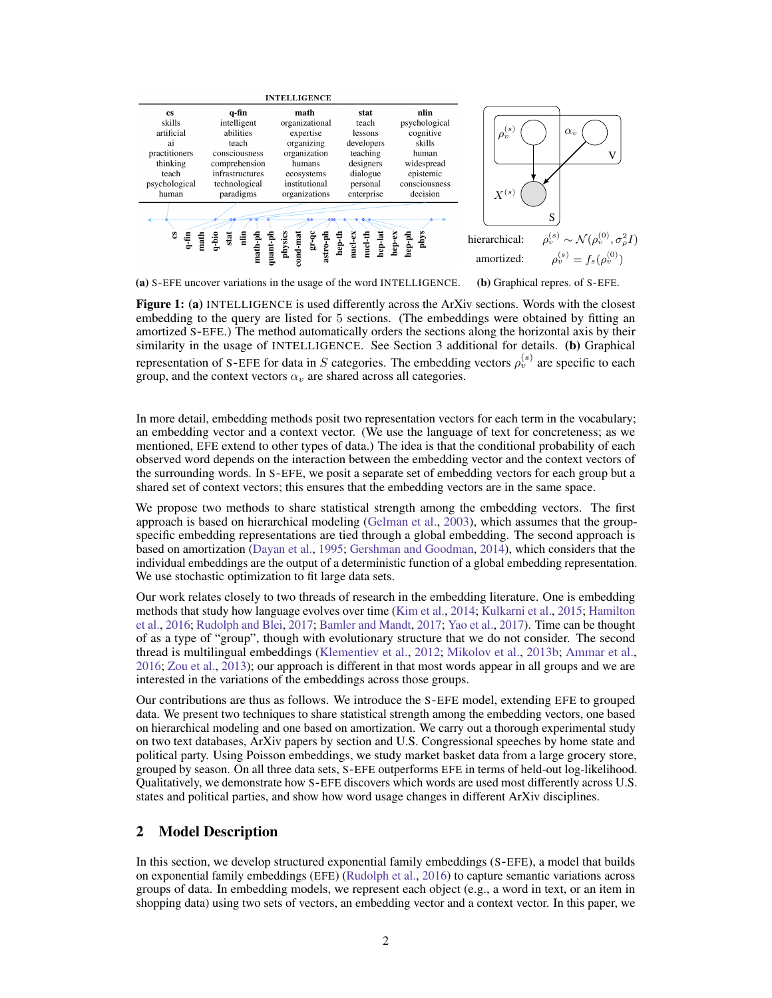

(a) S-EFE uncover variations in the usage of the word INTELLIGENCE.

(b) Graphical repres. of S-EFE.

Figure 1: (a) INTELLIGENCE is used differently across the ArXiv sections. Words with the closest embedding to the query are listed for 5 sections. (The embeddings were obtained by fitting an amortized S-EFE.) The method automatically orders the sections along the horizontal axis by their similarity in the usage of INTELLIGENCE. See Section 3 additional for details. (b) Graphical representation of S-EFE for data in S categories. The embedding vectors  $\rho_v^{(s)}$  are specific to each group, and the context vectors  $\alpha_v$  are shared across all categories.

In more detail, embedding methods posit two representation vectors for each term in the vocabulary; an embedding vector and a context vector. (We use the language of text for concreteness; as we mentioned, EFE extend to other types of data.) The idea is that the conditional probability of each observed word depends on the interaction between the embedding vector and the context vectors of the surrounding words. In S-EFE, we posit a separate set of embedding vectors for each group but a shared set of context vectors; this ensures that the embedding vectors are in the same space.

We propose two methods to share statistical strength among the embedding vectors. The first approach is based on hierarchical modeling (Gelman et al., 2003), which assumes that the groupspecific embedding representations are tied through a global embedding. The second approach is based on amortization (Dayan et al., 1995; Gershman and Goodman, 2014), which considers that the individual embeddings are the output of a deterministic function of a global embedding representation. We use stochastic optimization to fit large data sets.

Our work relates closely to two threads of research in the embedding literature. One is embedding methods that study how language evolves over time (Kim et al., 2014; Kulkarni et al., 2015; Hamilton et al., 2016; Rudolph and Blei, 2017; Bamler and Mandt, 2017; Yao et al., 2017). Time can be thought of as a type of "group", though with evolutionary structure that we do not consider. The second thread is multilingual embeddings (Klementiev et al., 2012; Mikolov et al., 2013b; Ammar et al., 2016; Zou et al., 2013); our approach is different in that most words appear in all groups and we are interested in the variations of the embeddings across those groups.

Our contributions are thus as follows. We introduce the S-EFE model, extending EFE to grouped data. We present two techniques to share statistical strength among the embedding vectors, one based on hierarchical modeling and one based on amortization. We carry out a thorough experimental study on two text databases, ArXiv papers by section and U.S. Congressional speeches by home state and political party. Using Poisson embeddings, we study market basket data from a large grocery store, grouped by season. On all three data sets, S-EFE outperforms EFE in terms of held-out log-likelihood. Qualitatively, we demonstrate how S-EFE discovers which words are used most differently across U.S. states and political parties, and show how word usage changes in different ArXiv disciplines.

## 2 Model Description

In this section, we develop structured exponential family embeddings (S-EFE), a model that builds on exponential family embeddings (EFE) (Rudolph et al., 2016) to capture semantic variations across groups of data. In embedding models, we represent each object (e.g., a word in text, or an item in shopping data) using two sets of vectors, an embedding vector and a context vector. In this paper, we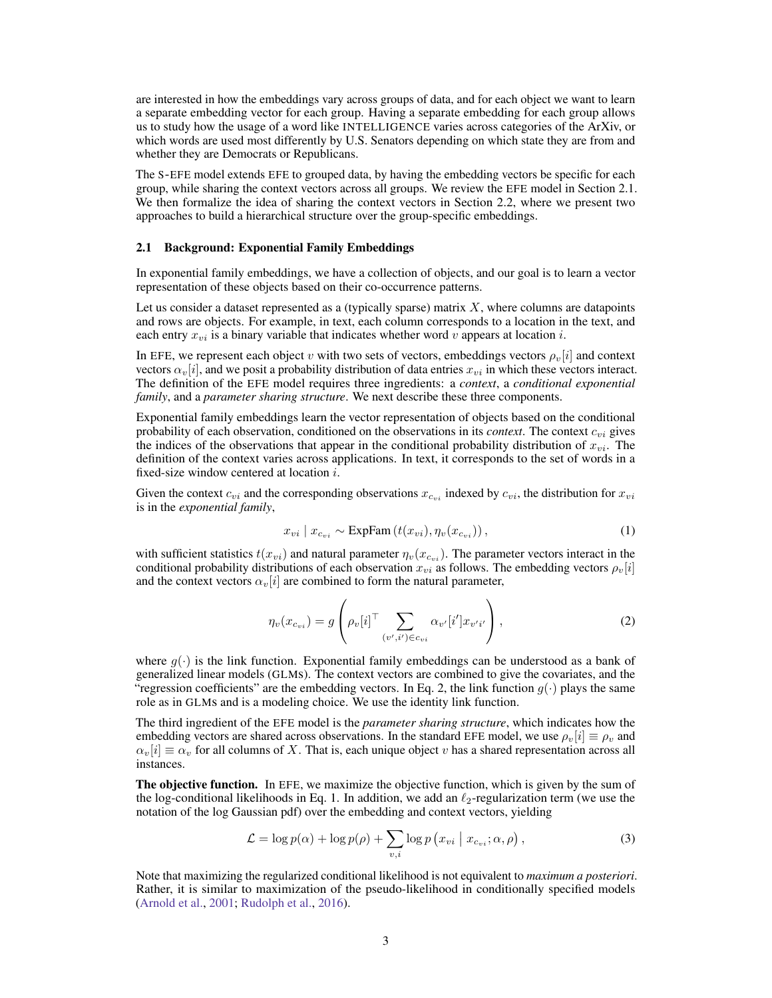are interested in how the embeddings vary across groups of data, and for each object we want to learn a separate embedding vector for each group. Having a separate embedding for each group allows us to study how the usage of a word like INTELLIGENCE varies across categories of the ArXiv, or which words are used most differently by U.S. Senators depending on which state they are from and whether they are Democrats or Republicans.

The S-EFE model extends EFE to grouped data, by having the embedding vectors be specific for each group, while sharing the context vectors across all groups. We review the EFE model in Section 2.1. We then formalize the idea of sharing the context vectors in Section 2.2, where we present two approaches to build a hierarchical structure over the group-specific embeddings.

#### 2.1 Background: Exponential Family Embeddings

In exponential family embeddings, we have a collection of objects, and our goal is to learn a vector representation of these objects based on their co-occurrence patterns.

Let us consider a dataset represented as a (typically sparse) matrix  $X$ , where columns are datapoints and rows are objects. For example, in text, each column corresponds to a location in the text, and each entry  $x_{vi}$  is a binary variable that indicates whether word v appears at location i.

In EFE, we represent each object v with two sets of vectors, embeddings vectors  $\rho_v[i]$  and context vectors  $\alpha_v[i]$ , and we posit a probability distribution of data entries  $x_{vi}$  in which these vectors interact. The definition of the EFE model requires three ingredients: a *context*, a *conditional exponential family*, and a *parameter sharing structure*. We next describe these three components.

Exponential family embeddings learn the vector representation of objects based on the conditional probability of each observation, conditioned on the observations in its *context*. The context  $c_{vi}$  gives the indices of the observations that appear in the conditional probability distribution of  $x_{vi}$ . The definition of the context varies across applications. In text, it corresponds to the set of words in a fixed-size window centered at location i.

Given the context  $c_{vi}$  and the corresponding observations  $x_{c_{vi}}$  indexed by  $c_{vi}$ , the distribution for  $x_{vi}$ is in the *exponential family*,

$$
x_{vi} \mid x_{c_{vi}} \sim \text{ExpFam}\left(t(x_{vi}), \eta_v(x_{c_{vi}})\right),\tag{1}
$$

with sufficient statistics  $t(x_{vi})$  and natural parameter  $\eta_v(x_{ci})$ . The parameter vectors interact in the conditional probability distributions of each observation  $x_{vi}$  as follows. The embedding vectors  $\rho_v[i]$ and the context vectors  $\alpha_v[i]$  are combined to form the natural parameter,

$$
\eta_v(x_{c_{vi}}) = g\left(\rho_v[i]^\top \sum_{(v',i') \in c_{vi}} \alpha_{v'}[i'] x_{v'i'}\right),\tag{2}
$$

where  $q(\cdot)$  is the link function. Exponential family embeddings can be understood as a bank of generalized linear models (GLMs). The context vectors are combined to give the covariates, and the "regression coefficients" are the embedding vectors. In Eq. 2, the link function  $g(\cdot)$  plays the same role as in GLMs and is a modeling choice. We use the identity link function.

The third ingredient of the EFE model is the *parameter sharing structure*, which indicates how the embedding vectors are shared across observations. In the standard EFE model, we use  $\rho_v[i] \equiv \rho_v$  and  $\alpha_v[i] \equiv \alpha_v$  for all columns of X. That is, each unique object v has a shared representation across all instances.

The objective function. In EFE, we maximize the objective function, which is given by the sum of the log-conditional likelihoods in Eq. 1. In addition, we add an  $\ell_2$ -regularization term (we use the notation of the log Gaussian pdf) over the embedding and context vectors, yielding

$$
\mathcal{L} = \log p(\alpha) + \log p(\rho) + \sum_{v,i} \log p(x_{vi} \mid x_{c_{vi}}; \alpha, \rho), \qquad (3)
$$

Note that maximizing the regularized conditional likelihood is not equivalent to *maximum a posteriori*. Rather, it is similar to maximization of the pseudo-likelihood in conditionally specified models (Arnold et al., 2001; Rudolph et al., 2016).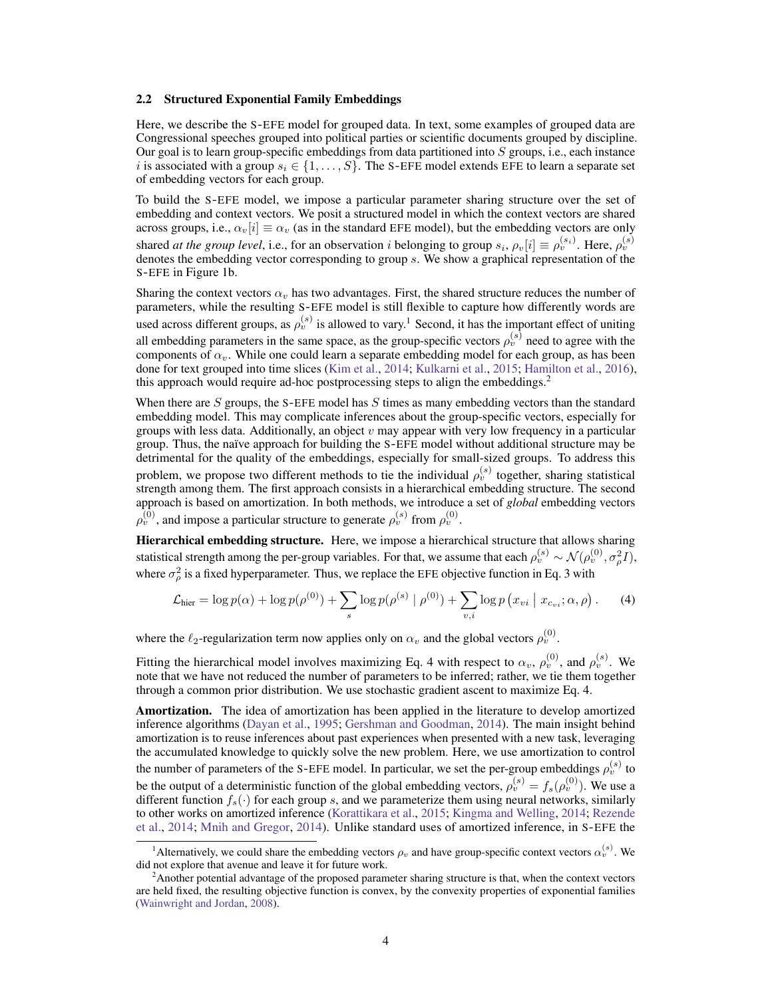#### 2.2 Structured Exponential Family Embeddings

Here, we describe the S-EFE model for grouped data. In text, some examples of grouped data are Congressional speeches grouped into political parties or scientific documents grouped by discipline. Our goal is to learn group-specific embeddings from data partitioned into  $S$  groups, i.e., each instance i is associated with a group  $s_i \in \{1, \ldots, S\}$ . The S-EFE model extends EFE to learn a separate set of embedding vectors for each group.

To build the S-EFE model, we impose a particular parameter sharing structure over the set of embedding and context vectors. We posit a structured model in which the context vectors are shared across groups, i.e.,  $\alpha_v[i] \equiv \alpha_v$  (as in the standard EFE model), but the embedding vectors are only shared *at the group level*, i.e., for an observation *i* belonging to group  $s_i$ ,  $\rho_v[i] \equiv \rho_v^{(s_i)}$ . Here,  $\rho_v^{(s)}$  denotes the embedding vector corresponding to group *s*. We show a graphical representation of the S-EFE in Figure 1b.

Sharing the context vectors  $\alpha_v$  has two advantages. First, the shared structure reduces the number of parameters, while the resulting S-EFE model is still flexible to capture how differently words are used across different groups, as  $\rho_v^{(s)}$  is allowed to vary.<sup>1</sup> Second, it has the important effect of uniting all embedding parameters in the same space, as the group-specific vectors  $\rho_v^{(s)}$  need to agree with the components of  $\alpha_v$ . While one could learn a separate embedding model for each group, as has been done for text grouped into time slices (Kim et al., 2014; Kulkarni et al., 2015; Hamilton et al., 2016), this approach would require ad-hoc postprocessing steps to align the embeddings.<sup>2</sup>

When there are  $S$  groups, the S-EFE model has  $S$  times as many embedding vectors than the standard embedding model. This may complicate inferences about the group-specific vectors, especially for groups with less data. Additionally, an object  $v$  may appear with very low frequency in a particular group. Thus, the naïve approach for building the S-EFE model without additional structure may be detrimental for the quality of the embeddings, especially for small-sized groups. To address this problem, we propose two different methods to tie the individual  $\rho_v^{(s)}$  together, sharing statistical strength among them. The first approach consists in a hierarchical embedding structure. The second approach is based on amortization. In both methods, we introduce a set of *global* embedding vectors  $\rho_v^{(0)}$ , and impose a particular structure to generate  $\rho_v^{(s)}$  from  $\rho_v^{(0)}$ .

Hierarchical embedding structure. Here, we impose a hierarchical structure that allows sharing statistical strength among the per-group variables. For that, we assume that each  $\rho_v^{(s)} \sim \mathcal{N}(\rho_v^{(0)}, \sigma_\rho^2 I)$ , where  $\sigma_{\rho}^2$  is a fixed hyperparameter. Thus, we replace the EFE objective function in Eq. 3 with

$$
\mathcal{L}_{\text{hier}} = \log p(\alpha) + \log p(\rho^{(0)}) + \sum_{s} \log p(\rho^{(s)} \mid \rho^{(0)}) + \sum_{v,i} \log p(x_{vi} \mid x_{c_{vi}}; \alpha, \rho).
$$
 (4)

where the  $\ell_2$ -regularization term now applies only on  $\alpha_v$  and the global vectors  $\rho_v^{(0)}$ .

Fitting the hierarchical model involves maximizing Eq. 4 with respect to  $\alpha_v$ ,  $\rho_v^{(0)}$ , and  $\rho_v^{(s)}$ . We note that we have not reduced the number of parameters to be inferred; rather, we tie them together through a common prior distribution. We use stochastic gradient ascent to maximize Eq. 4.

Amortization. The idea of amortization has been applied in the literature to develop amortized inference algorithms (Dayan et al., 1995; Gershman and Goodman, 2014). The main insight behind amortization is to reuse inferences about past experiences when presented with a new task, leveraging the accumulated knowledge to quickly solve the new problem. Here, we use amortization to control the number of parameters of the S-EFE model. In particular, we set the per-group embeddings  $\rho_v^{(s)}$  to be the output of a deterministic function of the global embedding vectors,  $\rho_v^{(s)} = f_s(\rho_v^{(0)})$ . We use a different function  $f_s(\cdot)$  for each group s, and we parameterize them using neural networks, similarly to other works on amortized inference (Korattikara et al., 2015; Kingma and Welling, 2014; Rezende et al., 2014; Mnih and Gregor, 2014). Unlike standard uses of amortized inference, in S-EFE the

<sup>&</sup>lt;sup>1</sup>Alternatively, we could share the embedding vectors  $\rho_v$  and have group-specific context vectors  $\alpha_v^{(s)}$ . We did not explore that avenue and leave it for future work.

<sup>&</sup>lt;sup>2</sup>Another potential advantage of the proposed parameter sharing structure is that, when the context vectors are held fixed, the resulting objective function is convex, by the convexity properties of exponential families (Wainwright and Jordan, 2008).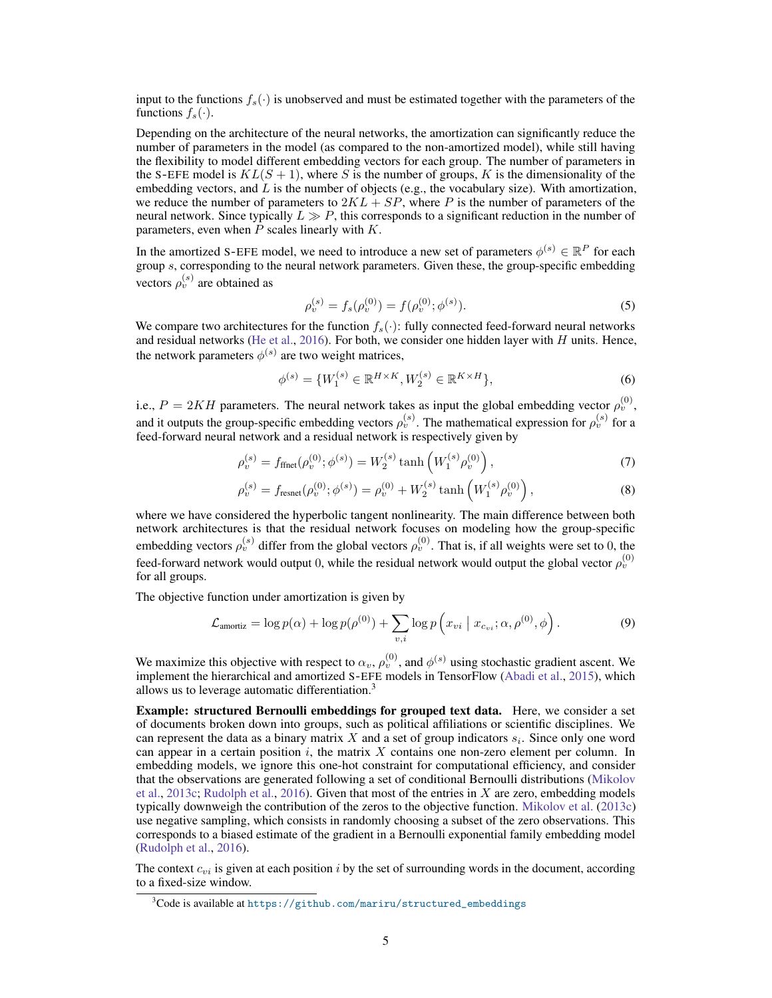input to the functions  $f_s(\cdot)$  is unobserved and must be estimated together with the parameters of the functions  $f_s(\cdot)$ .

Depending on the architecture of the neural networks, the amortization can significantly reduce the number of parameters in the model (as compared to the non-amortized model), while still having the flexibility to model different embedding vectors for each group. The number of parameters in the S-EFE model is  $KL(S + 1)$ , where S is the number of groups, K is the dimensionality of the embedding vectors, and  $L$  is the number of objects (e.g., the vocabulary size). With amortization, we reduce the number of parameters to  $2KL + SP$ , where P is the number of parameters of the neural network. Since typically  $L \gg P$ , this corresponds to a significant reduction in the number of parameters, even when  $P$  scales linearly with  $K$ .

In the amortized S-EFE model, we need to introduce a new set of parameters  $\phi^{(s)} \in \mathbb{R}^P$  for each group s, corresponding to the neural network parameters. Given these, the group-specific embedding vectors  $\rho_v^{(s)}$  are obtained as

$$
\rho_v^{(s)} = f_s(\rho_v^{(0)}) = f(\rho_v^{(0)}; \phi^{(s)}).
$$
\n(5)

We compare two architectures for the function  $f_s(\cdot)$ : fully connected feed-forward neural networks and residual networks (He et al., 2016). For both, we consider one hidden layer with  $H$  units. Hence, the network parameters  $\phi^{(s)}$  are two weight matrices,

$$
\phi^{(s)} = \{W_1^{(s)} \in \mathbb{R}^{H \times K}, W_2^{(s)} \in \mathbb{R}^{K \times H}\},\tag{6}
$$

i.e.,  $P = 2KH$  parameters. The neural network takes as input the global embedding vector  $\rho_v^{(0)}$ , and it outputs the group-specific embedding vectors  $\rho_v^{(s)}$ . The mathematical expression for  $\rho_v^{(s)}$  for a feed-forward neural network and a residual network is respectively given by

$$
\rho_v^{(s)} = f_{\text{ffret}}(\rho_v^{(0)}; \phi^{(s)}) = W_2^{(s)} \tanh\left(W_1^{(s)} \rho_v^{(0)}\right),\tag{7}
$$

$$
\rho_v^{(s)} = f_{\text{resnet}}(\rho_v^{(0)}; \phi^{(s)}) = \rho_v^{(0)} + W_2^{(s)} \tanh\left(W_1^{(s)} \rho_v^{(0)}\right),\tag{8}
$$

where we have considered the hyperbolic tangent nonlinearity. The main difference between both network architectures is that the residual network focuses on modeling how the group-specific embedding vectors  $\rho_v^{(s)}$  differ from the global vectors  $\rho_v^{(0)}$ . That is, if all weights were set to 0, the feed-forward network would output 0, while the residual network would output the global vector  $\rho_v^{(0)}$ for all groups.

The objective function under amortization is given by

$$
\mathcal{L}_{\text{amortiz}} = \log p(\alpha) + \log p(\rho^{(0)}) + \sum_{v,i} \log p\left(x_{vi} \mid x_{c_{vi}}; \alpha, \rho^{(0)}, \phi\right). \tag{9}
$$

We maximize this objective with respect to  $\alpha_v$ ,  $\rho_v^{(0)}$ , and  $\phi^{(s)}$  using stochastic gradient ascent. We implement the hierarchical and amortized S-EFE models in TensorFlow (Abadi et al., 2015), which allows us to leverage automatic differentiation.3

Example: structured Bernoulli embeddings for grouped text data. Here, we consider a set of documents broken down into groups, such as political affiliations or scientific disciplines. We can represent the data as a binary matrix X and a set of group indicators  $s_i$ . Since only one word can appear in a certain position  $i$ , the matrix  $X$  contains one non-zero element per column. In embedding models, we ignore this one-hot constraint for computational efficiency, and consider that the observations are generated following a set of conditional Bernoulli distributions (Mikolov et al., 2013c; Rudolph et al., 2016). Given that most of the entries in  $X$  are zero, embedding models typically downweigh the contribution of the zeros to the objective function. Mikolov et al. (2013c) use negative sampling, which consists in randomly choosing a subset of the zero observations. This corresponds to a biased estimate of the gradient in a Bernoulli exponential family embedding model (Rudolph et al., 2016).

The context  $c_{vi}$  is given at each position i by the set of surrounding words in the document, according to a fixed-size window.

 $3C$ ode is available at [https://github.com/mariru/structured\\_embeddings](https://github.com/mariru/structured_embeddings)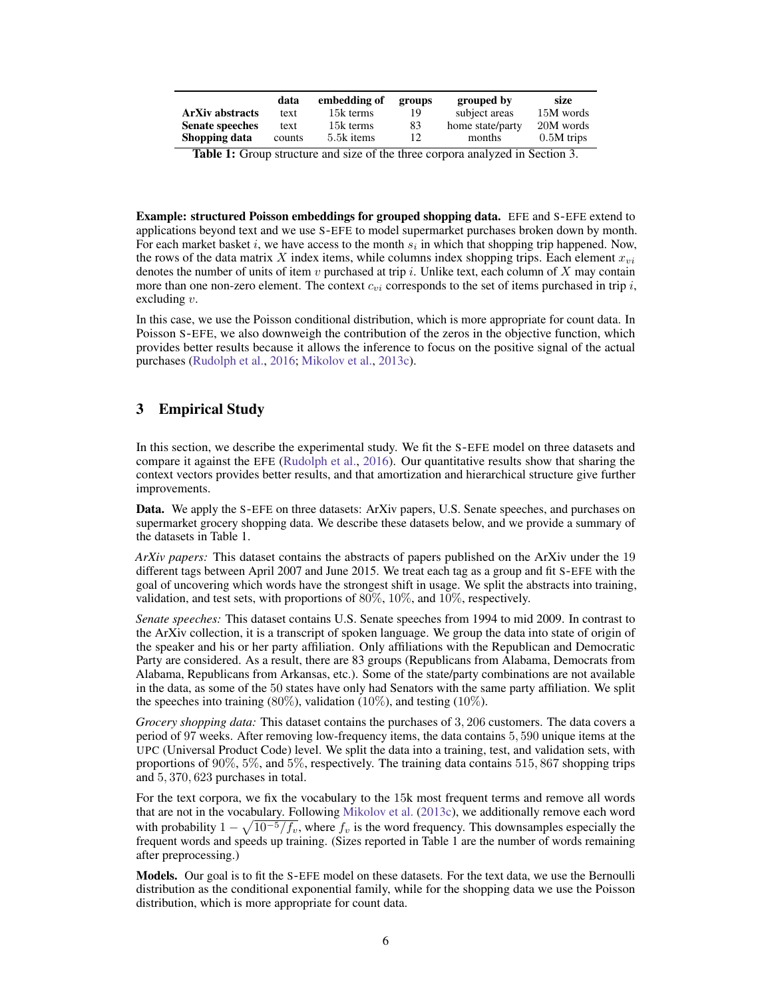|                        | data   | embedding of | groups | grouped by       | size         |
|------------------------|--------|--------------|--------|------------------|--------------|
| <b>ArXiv abstracts</b> | text   | 15k terms    | 19     | subject areas    | 15M words    |
| <b>Senate speeches</b> | text   | 15k terms    | 83     | home state/party | 20M words    |
| Shopping data          | counts | 5.5k items   | 12     | months           | $0.5M$ trips |

Table 1: Group structure and size of the three corpora analyzed in Section 3.

Example: structured Poisson embeddings for grouped shopping data. EFE and S-EFE extend to applications beyond text and we use S-EFE to model supermarket purchases broken down by month. For each market basket i, we have access to the month  $s_i$  in which that shopping trip happened. Now, the rows of the data matrix  $X$  index items, while columns index shopping trips. Each element  $x_{vi}$ denotes the number of units of item v purchased at trip i. Unlike text, each column of X may contain more than one non-zero element. The context  $c_{vi}$  corresponds to the set of items purchased in trip i, excluding v.

In this case, we use the Poisson conditional distribution, which is more appropriate for count data. In Poisson S-EFE, we also downweigh the contribution of the zeros in the objective function, which provides better results because it allows the inference to focus on the positive signal of the actual purchases (Rudolph et al., 2016; Mikolov et al., 2013c).

# 3 Empirical Study

In this section, we describe the experimental study. We fit the S-EFE model on three datasets and compare it against the EFE (Rudolph et al., 2016). Our quantitative results show that sharing the context vectors provides better results, and that amortization and hierarchical structure give further improvements.

Data. We apply the S-EFE on three datasets: ArXiv papers, U.S. Senate speeches, and purchases on supermarket grocery shopping data. We describe these datasets below, and we provide a summary of the datasets in Table 1.

*ArXiv papers:* This dataset contains the abstracts of papers published on the ArXiv under the 19 different tags between April 2007 and June 2015. We treat each tag as a group and fit S-EFE with the goal of uncovering which words have the strongest shift in usage. We split the abstracts into training, validation, and test sets, with proportions of  $80\%$ ,  $10\%$ , and  $10\%$ , respectively.

*Senate speeches:* This dataset contains U.S. Senate speeches from 1994 to mid 2009. In contrast to the ArXiv collection, it is a transcript of spoken language. We group the data into state of origin of the speaker and his or her party affiliation. Only affiliations with the Republican and Democratic Party are considered. As a result, there are 83 groups (Republicans from Alabama, Democrats from Alabama, Republicans from Arkansas, etc.). Some of the state/party combinations are not available in the data, as some of the 50 states have only had Senators with the same party affiliation. We split the speeches into training  $(80\%)$ , validation  $(10\%)$ , and testing  $(10\%)$ .

*Grocery shopping data:* This dataset contains the purchases of 3, 206 customers. The data covers a period of 97 weeks. After removing low-frequency items, the data contains 5, 590 unique items at the UPC (Universal Product Code) level. We split the data into a training, test, and validation sets, with proportions of 90%, 5%, and 5%, respectively. The training data contains 515, 867 shopping trips and 5, 370, 623 purchases in total.

For the text corpora, we fix the vocabulary to the 15k most frequent terms and remove all words that are not in the vocabulary. Following Mikolov et al. (2013c), we additionally remove each word with probability  $1 - \sqrt{10^{-5}/f_v}$ , where  $f_v$  is the word frequency. This downsamples especially the frequent words and speeds up training. (Sizes reported in Table 1 are the number of words remaining after preprocessing.)

Models. Our goal is to fit the S-EFE model on these datasets. For the text data, we use the Bernoulli distribution as the conditional exponential family, while for the shopping data we use the Poisson distribution, which is more appropriate for count data.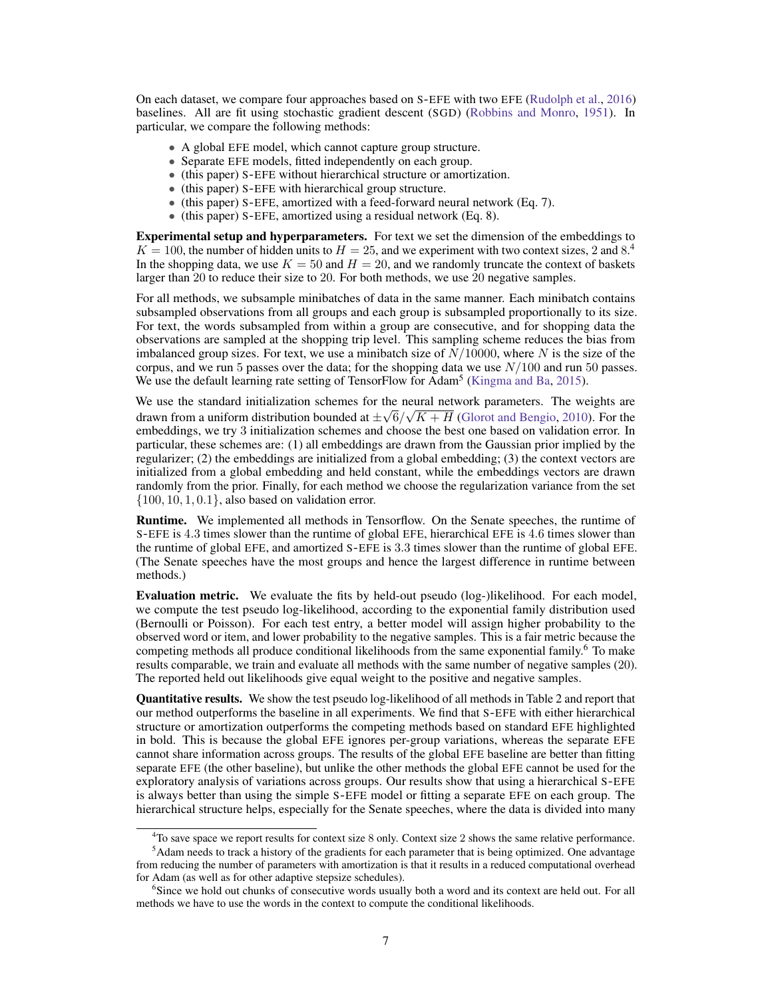On each dataset, we compare four approaches based on S-EFE with two EFE (Rudolph et al., 2016) baselines. All are fit using stochastic gradient descent (SGD) (Robbins and Monro, 1951). In particular, we compare the following methods:

- A global EFE model, which cannot capture group structure.
- Separate EFE models, fitted independently on each group.
- (this paper) S-EFE without hierarchical structure or amortization.
- (this paper) S-EFE with hierarchical group structure.
- (this paper) S-EFE, amortized with a feed-forward neural network (Eq. 7).
- (this paper) S-EFE, amortized using a residual network (Eq. 8).

**Experimental setup and hyperparameters.** For text we set the dimension of the embeddings to  $K = 100$ , the number of hidden units to  $H = 25$ , and we experiment with two context sizes, 2 and 8.<sup>4</sup> In the shopping data, we use  $K = 50$  and  $H = 20$ , and we randomly truncate the context of baskets larger than 20 to reduce their size to 20. For both methods, we use 20 negative samples.

For all methods, we subsample minibatches of data in the same manner. Each minibatch contains subsampled observations from all groups and each group is subsampled proportionally to its size. For text, the words subsampled from within a group are consecutive, and for shopping data the observations are sampled at the shopping trip level. This sampling scheme reduces the bias from imbalanced group sizes. For text, we use a minibatch size of  $\dot{N}/10000$ , where N is the size of the corpus, and we run 5 passes over the data; for the shopping data we use  $N/100$  and run 50 passes. We use the default learning rate setting of TensorFlow for Adam<sup>5</sup> (Kingma and Ba, 2015).

We use the standard initialization schemes for the neural network parameters. The weights are drawn from a uniform distribution bounded at  $\pm\sqrt{6}/\sqrt{K} + H$  (Glorot and Bengio, 2010). For the embeddings, we try 3 initialization schemes and choose the best one based on validation error. In particular, these schemes are: (1) all embeddings are drawn from the Gaussian prior implied by the regularizer; (2) the embeddings are initialized from a global embedding; (3) the context vectors are initialized from a global embedding and held constant, while the embeddings vectors are drawn randomly from the prior. Finally, for each method we choose the regularization variance from the set  $\{100, 10, 1, 0.1\}$ , also based on validation error.

Runtime. We implemented all methods in Tensorflow. On the Senate speeches, the runtime of S-EFE is 4.3 times slower than the runtime of global EFE, hierarchical EFE is 4.6 times slower than the runtime of global EFE, and amortized S-EFE is 3.3 times slower than the runtime of global EFE. (The Senate speeches have the most groups and hence the largest difference in runtime between methods.)

Evaluation metric. We evaluate the fits by held-out pseudo (log-)likelihood. For each model, we compute the test pseudo log-likelihood, according to the exponential family distribution used (Bernoulli or Poisson). For each test entry, a better model will assign higher probability to the observed word or item, and lower probability to the negative samples. This is a fair metric because the competing methods all produce conditional likelihoods from the same exponential family.6 To make results comparable, we train and evaluate all methods with the same number of negative samples (20). The reported held out likelihoods give equal weight to the positive and negative samples.

Quantitative results. We show the test pseudo log-likelihood of all methods in Table 2 and report that our method outperforms the baseline in all experiments. We find that S-EFE with either hierarchical structure or amortization outperforms the competing methods based on standard EFE highlighted in bold. This is because the global EFE ignores per-group variations, whereas the separate EFE cannot share information across groups. The results of the global EFE baseline are better than fitting separate EFE (the other baseline), but unlike the other methods the global EFE cannot be used for the exploratory analysis of variations across groups. Our results show that using a hierarchical S-EFE is always better than using the simple S-EFE model or fitting a separate EFE on each group. The hierarchical structure helps, especially for the Senate speeches, where the data is divided into many

<sup>&</sup>lt;sup>4</sup>To save space we report results for context size 8 only. Context size 2 shows the same relative performance.

<sup>&</sup>lt;sup>5</sup>Adam needs to track a history of the gradients for each parameter that is being optimized. One advantage from reducing the number of parameters with amortization is that it results in a reduced computational overhead for Adam (as well as for other adaptive stepsize schedules).

<sup>&</sup>lt;sup>6</sup>Since we hold out chunks of consecutive words usually both a word and its context are held out. For all methods we have to use the words in the context to compute the conditional likelihoods.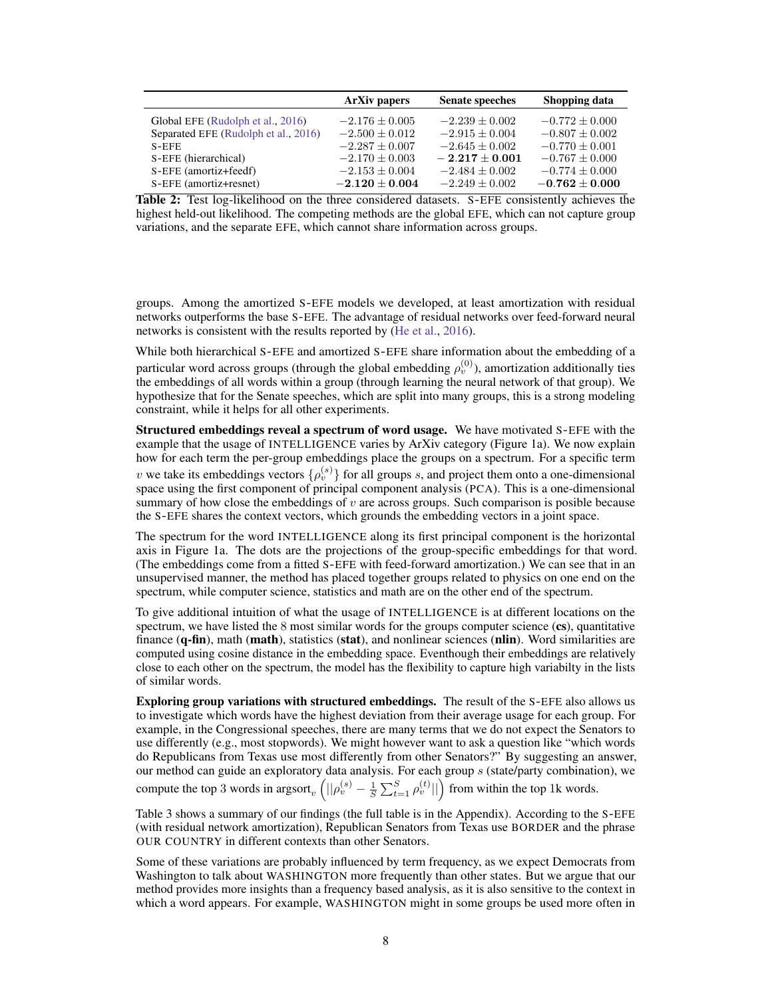|                                      | <b>ArXiv papers</b> | <b>Senate speeches</b> | Shopping data      |
|--------------------------------------|---------------------|------------------------|--------------------|
| Global EFE (Rudolph et al., 2016)    | $-2.176 \pm 0.005$  | $-2.239 \pm 0.002$     | $-0.772 \pm 0.000$ |
| Separated EFE (Rudolph et al., 2016) | $-2.500 \pm 0.012$  | $-2.915 \pm 0.004$     | $-0.807 \pm 0.002$ |
| $S$ -EFE                             | $-2.287 + 0.007$    | $-2.645 + 0.002$       | $-0.770 \pm 0.001$ |
| S-EFE (hierarchical)                 | $-2.170 \pm 0.003$  | $-2.217 + 0.001$       | $-0.767 \pm 0.000$ |
| S-EFE (amortiz+feedf)                | $-2.153 \pm 0.004$  | $-2.484 \pm 0.002$     | $-0.774 \pm 0.000$ |
| S-EFE (amortiz+resnet)               | $-2.120 \pm 0.004$  | $-2.249 \pm 0.002$     | $-0.762 \pm 0.000$ |

Table 2: Test log-likelihood on the three considered datasets. S-EFE consistently achieves the highest held-out likelihood. The competing methods are the global EFE, which can not capture group variations, and the separate EFE, which cannot share information across groups.

groups. Among the amortized S-EFE models we developed, at least amortization with residual networks outperforms the base S-EFE. The advantage of residual networks over feed-forward neural networks is consistent with the results reported by (He et al., 2016).

While both hierarchical S-EFE and amortized S-EFE share information about the embedding of a particular word across groups (through the global embedding  $\rho_v^{(0)}$ ), amortization additionally ties the embeddings of all words within a group (through learning the neural network of that group). We hypothesize that for the Senate speeches, which are split into many groups, this is a strong modeling constraint, while it helps for all other experiments.

Structured embeddings reveal a spectrum of word usage. We have motivated S-EFE with the example that the usage of INTELLIGENCE varies by ArXiv category (Figure 1a). We now explain how for each term the per-group embeddings place the groups on a spectrum. For a specific term v we take its embeddings vectors  $\{\rho_v^{(s)}\}$  for all groups s, and project them onto a one-dimensional space using the first component of principal component analysis (PCA). This is a one-dimensional summary of how close the embeddings of  $v$  are across groups. Such comparison is posible because the S-EFE shares the context vectors, which grounds the embedding vectors in a joint space.

The spectrum for the word INTELLIGENCE along its first principal component is the horizontal axis in Figure 1a. The dots are the projections of the group-specific embeddings for that word. (The embeddings come from a fitted S-EFE with feed-forward amortization.) We can see that in an unsupervised manner, the method has placed together groups related to physics on one end on the spectrum, while computer science, statistics and math are on the other end of the spectrum.

To give additional intuition of what the usage of INTELLIGENCE is at different locations on the spectrum, we have listed the 8 most similar words for the groups computer science (cs), quantitative finance  $(q$ -fin), math (math), statistics (stat), and nonlinear sciences (nlin). Word similarities are computed using cosine distance in the embedding space. Eventhough their embeddings are relatively close to each other on the spectrum, the model has the flexibility to capture high variabilty in the lists of similar words.

Exploring group variations with structured embeddings. The result of the S-EFE also allows us to investigate which words have the highest deviation from their average usage for each group. For example, in the Congressional speeches, there are many terms that we do not expect the Senators to use differently (e.g., most stopwords). We might however want to ask a question like "which words do Republicans from Texas use most differently from other Senators?" By suggesting an answer, our method can guide an exploratory data analysis. For each group  $s$  (state/party combination), we compute the top 3 words in argsort<sub>v</sub>  $(||\rho_v^{(s)} - \frac{1}{S} \sum_{t=1}^S \rho_v^{(t)}||)$  from within the top 1k words.

Table 3 shows a summary of our findings (the full table is in the Appendix). According to the S-EFE (with residual network amortization), Republican Senators from Texas use BORDER and the phrase OUR COUNTRY in different contexts than other Senators.

Some of these variations are probably influenced by term frequency, as we expect Democrats from Washington to talk about WASHINGTON more frequently than other states. But we argue that our method provides more insights than a frequency based analysis, as it is also sensitive to the context in which a word appears. For example, WASHINGTON might in some groups be used more often in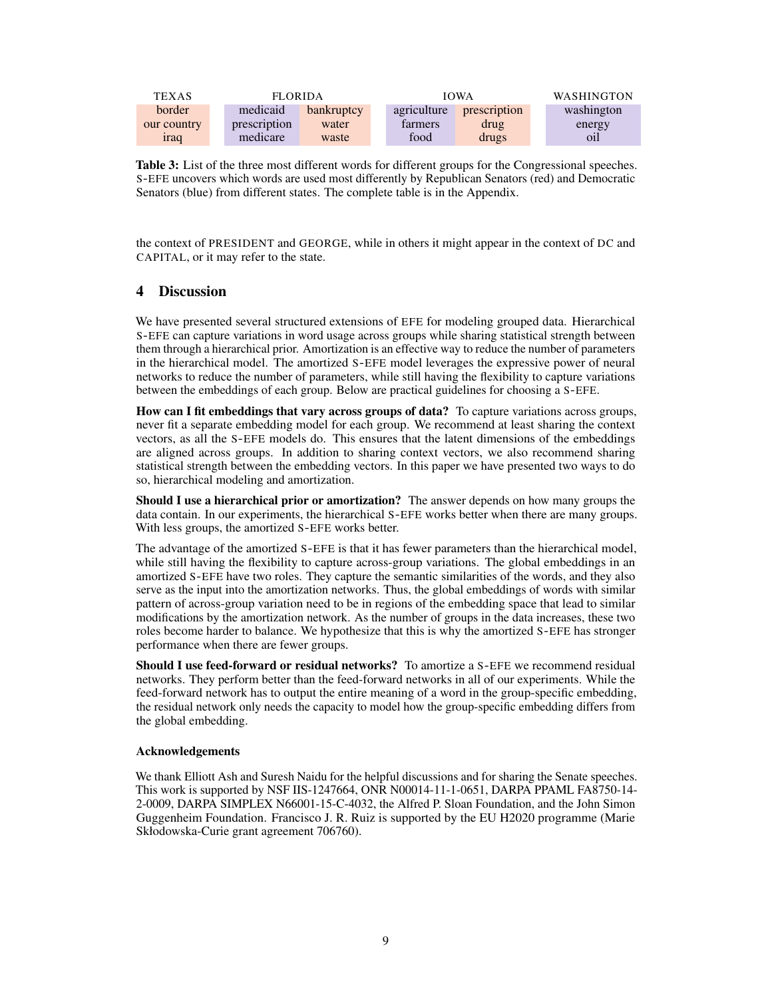| <b>TEXAS</b> |              | <b>FLORIDA</b> |  | <b>IOWA</b> |              |  | <b>WASHINGTON</b> |
|--------------|--------------|----------------|--|-------------|--------------|--|-------------------|
| border       | medicaid     | bankruptcy     |  | agriculture | prescription |  | washington        |
| our country  | prescription | water          |  | tarmers     | drug         |  | energy            |
| <i>irad</i>  | medicare     | waste          |  | food        | drugs        |  | oil               |

Table 3: List of the three most different words for different groups for the Congressional speeches. S-EFE uncovers which words are used most differently by Republican Senators (red) and Democratic Senators (blue) from different states. The complete table is in the Appendix.

the context of PRESIDENT and GEORGE, while in others it might appear in the context of DC and CAPITAL, or it may refer to the state.

## 4 Discussion

We have presented several structured extensions of EFE for modeling grouped data. Hierarchical S-EFE can capture variations in word usage across groups while sharing statistical strength between them through a hierarchical prior. Amortization is an effective way to reduce the number of parameters in the hierarchical model. The amortized S-EFE model leverages the expressive power of neural networks to reduce the number of parameters, while still having the flexibility to capture variations between the embeddings of each group. Below are practical guidelines for choosing a S-EFE.

How can I fit embeddings that vary across groups of data? To capture variations across groups, never fit a separate embedding model for each group. We recommend at least sharing the context vectors, as all the S-EFE models do. This ensures that the latent dimensions of the embeddings are aligned across groups. In addition to sharing context vectors, we also recommend sharing statistical strength between the embedding vectors. In this paper we have presented two ways to do so, hierarchical modeling and amortization.

Should I use a hierarchical prior or amortization? The answer depends on how many groups the data contain. In our experiments, the hierarchical S-EFE works better when there are many groups. With less groups, the amortized S-EFE works better.

The advantage of the amortized S-EFE is that it has fewer parameters than the hierarchical model, while still having the flexibility to capture across-group variations. The global embeddings in an amortized S-EFE have two roles. They capture the semantic similarities of the words, and they also serve as the input into the amortization networks. Thus, the global embeddings of words with similar pattern of across-group variation need to be in regions of the embedding space that lead to similar modifications by the amortization network. As the number of groups in the data increases, these two roles become harder to balance. We hypothesize that this is why the amortized S-EFE has stronger performance when there are fewer groups.

Should I use feed-forward or residual networks? To amortize a S-EFE we recommend residual networks. They perform better than the feed-forward networks in all of our experiments. While the feed-forward network has to output the entire meaning of a word in the group-specific embedding, the residual network only needs the capacity to model how the group-specific embedding differs from the global embedding.

### Acknowledgements

We thank Elliott Ash and Suresh Naidu for the helpful discussions and for sharing the Senate speeches. This work is supported by NSF IIS-1247664, ONR N00014-11-1-0651, DARPA PPAML FA8750-14- 2-0009, DARPA SIMPLEX N66001-15-C-4032, the Alfred P. Sloan Foundation, and the John Simon Guggenheim Foundation. Francisco J. R. Ruiz is supported by the EU H2020 programme (Marie Skłodowska-Curie grant agreement 706760).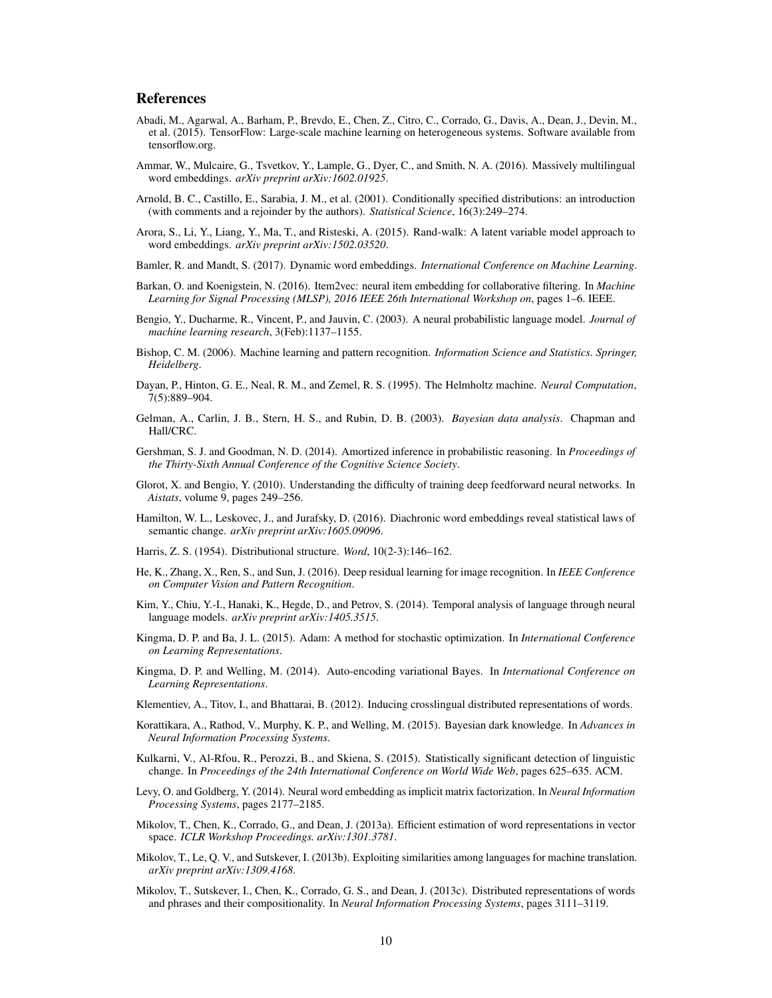## References

- Abadi, M., Agarwal, A., Barham, P., Brevdo, E., Chen, Z., Citro, C., Corrado, G., Davis, A., Dean, J., Devin, M., et al. (2015). TensorFlow: Large-scale machine learning on heterogeneous systems. Software available from tensorflow.org.
- Ammar, W., Mulcaire, G., Tsvetkov, Y., Lample, G., Dyer, C., and Smith, N. A. (2016). Massively multilingual word embeddings. *arXiv preprint arXiv:1602.01925*.
- Arnold, B. C., Castillo, E., Sarabia, J. M., et al. (2001). Conditionally specified distributions: an introduction (with comments and a rejoinder by the authors). *Statistical Science*, 16(3):249–274.
- Arora, S., Li, Y., Liang, Y., Ma, T., and Risteski, A. (2015). Rand-walk: A latent variable model approach to word embeddings. *arXiv preprint arXiv:1502.03520*.
- Bamler, R. and Mandt, S. (2017). Dynamic word embeddings. *International Conference on Machine Learning*.
- Barkan, O. and Koenigstein, N. (2016). Item2vec: neural item embedding for collaborative filtering. In *Machine Learning for Signal Processing (MLSP), 2016 IEEE 26th International Workshop on*, pages 1–6. IEEE.
- Bengio, Y., Ducharme, R., Vincent, P., and Jauvin, C. (2003). A neural probabilistic language model. *Journal of machine learning research*, 3(Feb):1137–1155.
- Bishop, C. M. (2006). Machine learning and pattern recognition. *Information Science and Statistics. Springer, Heidelberg*.
- Dayan, P., Hinton, G. E., Neal, R. M., and Zemel, R. S. (1995). The Helmholtz machine. *Neural Computation*, 7(5):889–904.
- Gelman, A., Carlin, J. B., Stern, H. S., and Rubin, D. B. (2003). *Bayesian data analysis*. Chapman and Hall/CRC.
- Gershman, S. J. and Goodman, N. D. (2014). Amortized inference in probabilistic reasoning. In *Proceedings of the Thirty-Sixth Annual Conference of the Cognitive Science Society*.
- Glorot, X. and Bengio, Y. (2010). Understanding the difficulty of training deep feedforward neural networks. In *Aistats*, volume 9, pages 249–256.
- Hamilton, W. L., Leskovec, J., and Jurafsky, D. (2016). Diachronic word embeddings reveal statistical laws of semantic change. *arXiv preprint arXiv:1605.09096*.
- Harris, Z. S. (1954). Distributional structure. *Word*, 10(2-3):146–162.
- He, K., Zhang, X., Ren, S., and Sun, J. (2016). Deep residual learning for image recognition. In *IEEE Conference on Computer Vision and Pattern Recognition*.
- Kim, Y., Chiu, Y.-I., Hanaki, K., Hegde, D., and Petrov, S. (2014). Temporal analysis of language through neural language models. *arXiv preprint arXiv:1405.3515*.
- Kingma, D. P. and Ba, J. L. (2015). Adam: A method for stochastic optimization. In *International Conference on Learning Representations*.
- Kingma, D. P. and Welling, M. (2014). Auto-encoding variational Bayes. In *International Conference on Learning Representations*.
- Klementiev, A., Titov, I., and Bhattarai, B. (2012). Inducing crosslingual distributed representations of words.
- Korattikara, A., Rathod, V., Murphy, K. P., and Welling, M. (2015). Bayesian dark knowledge. In *Advances in Neural Information Processing Systems*.
- Kulkarni, V., Al-Rfou, R., Perozzi, B., and Skiena, S. (2015). Statistically significant detection of linguistic change. In *Proceedings of the 24th International Conference on World Wide Web*, pages 625–635. ACM.
- Levy, O. and Goldberg, Y. (2014). Neural word embedding as implicit matrix factorization. In *Neural Information Processing Systems*, pages 2177–2185.
- Mikolov, T., Chen, K., Corrado, G., and Dean, J. (2013a). Efficient estimation of word representations in vector space. *ICLR Workshop Proceedings. arXiv:1301.3781*.
- Mikolov, T., Le, Q. V., and Sutskever, I. (2013b). Exploiting similarities among languages for machine translation. *arXiv preprint arXiv:1309.4168*.
- Mikolov, T., Sutskever, I., Chen, K., Corrado, G. S., and Dean, J. (2013c). Distributed representations of words and phrases and their compositionality. In *Neural Information Processing Systems*, pages 3111–3119.